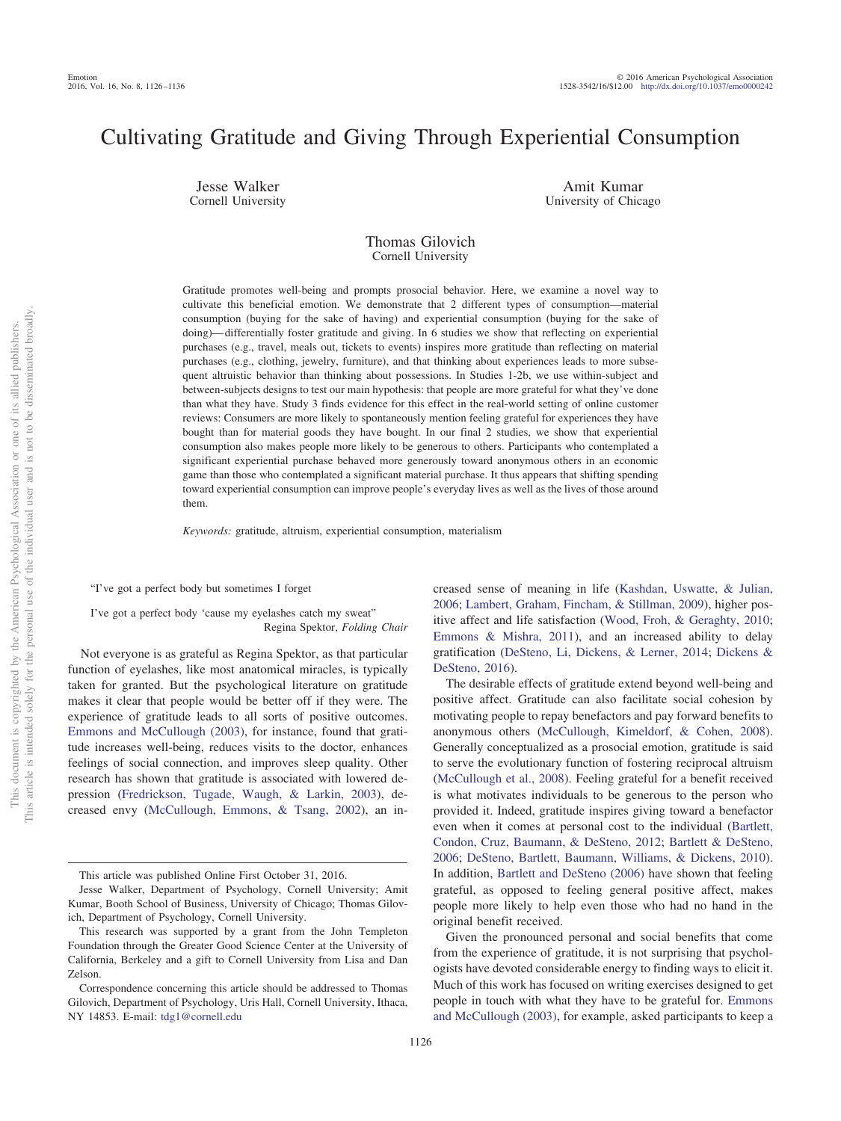# Cultivating Gratitude and Giving Through Experiential Consumption

Jesse Walker Cornell University

Amit Kumar University of Chicago

# Thomas Gilovich Cornell University

Gratitude promotes well-being and prompts prosocial behavior. Here, we examine a novel way to cultivate this beneficial emotion. We demonstrate that 2 different types of consumption—material consumption (buying for the sake of having) and experiential consumption (buying for the sake of doing)— differentially foster gratitude and giving. In 6 studies we show that reflecting on experiential purchases (e.g., travel, meals out, tickets to events) inspires more gratitude than reflecting on material purchases (e.g., clothing, jewelry, furniture), and that thinking about experiences leads to more subsequent altruistic behavior than thinking about possessions. In Studies 1-2b, we use within-subject and between-subjects designs to test our main hypothesis: that people are more grateful for what they've done than what they have. Study 3 finds evidence for this effect in the real-world setting of online customer reviews: Consumers are more likely to spontaneously mention feeling grateful for experiences they have bought than for material goods they have bought. In our final 2 studies, we show that experiential consumption also makes people more likely to be generous to others. Participants who contemplated a significant experiential purchase behaved more generously toward anonymous others in an economic game than those who contemplated a significant material purchase. It thus appears that shifting spending toward experiential consumption can improve people's everyday lives as well as the lives of those around them.

*Keywords:* gratitude, altruism, experiential consumption, materialism

"I've got a perfect body but sometimes I forget

I've got a perfect body 'cause my eyelashes catch my sweat" Regina Spektor, *Folding Chair*

Not everyone is as grateful as Regina Spektor, as that particular function of eyelashes, like most anatomical miracles, is typically taken for granted. But the psychological literature on gratitude makes it clear that people would be better off if they were. The experience of gratitude leads to all sorts of positive outcomes. [Emmons and McCullough \(2003\),](#page-8-0) for instance, found that gratitude increases well-being, reduces visits to the doctor, enhances feelings of social connection, and improves sleep quality. Other research has shown that gratitude is associated with lowered depression [\(Fredrickson, Tugade, Waugh, & Larkin, 2003\)](#page-9-0), decreased envy [\(McCullough, Emmons, & Tsang, 2002\)](#page-9-1), an increased sense of meaning in life [\(Kashdan, Uswatte, & Julian,](#page-9-2) [2006;](#page-9-2) [Lambert, Graham, Fincham, & Stillman, 2009\)](#page-9-3), higher positive affect and life satisfaction [\(Wood, Froh, & Geraghty, 2010;](#page-10-0) [Emmons & Mishra, 2011\)](#page-8-1), and an increased ability to delay gratification [\(DeSteno, Li, Dickens, & Lerner, 2014;](#page-8-2) [Dickens &](#page-8-3) [DeSteno, 2016\)](#page-8-3).

The desirable effects of gratitude extend beyond well-being and positive affect. Gratitude can also facilitate social cohesion by motivating people to repay benefactors and pay forward benefits to anonymous others [\(McCullough, Kimeldorf, & Cohen, 2008\)](#page-9-4). Generally conceptualized as a prosocial emotion, gratitude is said to serve the evolutionary function of fostering reciprocal altruism [\(McCullough et al., 2008\)](#page-9-4). Feeling grateful for a benefit received is what motivates individuals to be generous to the person who provided it. Indeed, gratitude inspires giving toward a benefactor even when it comes at personal cost to the individual [\(Bartlett,](#page-8-4) [Condon, Cruz, Baumann, & DeSteno, 2012;](#page-8-4) [Bartlett & DeSteno,](#page-8-5) [2006;](#page-8-5) [DeSteno, Bartlett, Baumann, Williams, & Dickens, 2010\)](#page-8-6). In addition, [Bartlett and DeSteno \(2006\)](#page-8-5) have shown that feeling grateful, as opposed to feeling general positive affect, makes people more likely to help even those who had no hand in the original benefit received.

Given the pronounced personal and social benefits that come from the experience of gratitude, it is not surprising that psychologists have devoted considerable energy to finding ways to elicit it. Much of this work has focused on writing exercises designed to get people in touch with what they have to be grateful for. [Emmons](#page-8-0) [and McCullough \(2003\),](#page-8-0) for example, asked participants to keep a

This article was published Online First October 31, 2016.

Jesse Walker, Department of Psychology, Cornell University; Amit Kumar, Booth School of Business, University of Chicago; Thomas Gilovich, Department of Psychology, Cornell University.

This research was supported by a grant from the John Templeton Foundation through the Greater Good Science Center at the University of California, Berkeley and a gift to Cornell University from Lisa and Dan Zelson.

Correspondence concerning this article should be addressed to Thomas Gilovich, Department of Psychology, Uris Hall, Cornell University, Ithaca, NY 14853. E-mail: [tdg1@cornell.edu](mailto:tdg1@cornell.edu)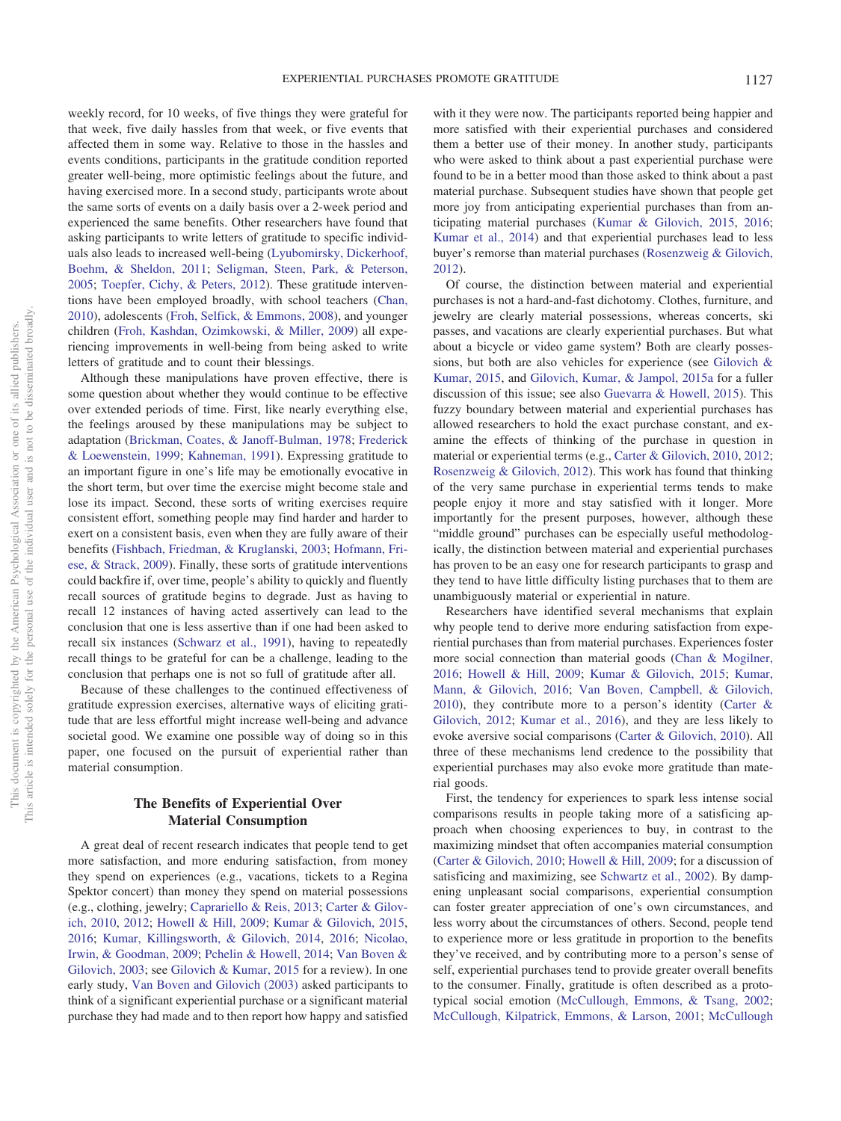weekly record, for 10 weeks, of five things they were grateful for that week, five daily hassles from that week, or five events that affected them in some way. Relative to those in the hassles and events conditions, participants in the gratitude condition reported greater well-being, more optimistic feelings about the future, and having exercised more. In a second study, participants wrote about the same sorts of events on a daily basis over a 2-week period and experienced the same benefits. Other researchers have found that asking participants to write letters of gratitude to specific individuals also leads to increased well-being [\(Lyubomirsky, Dickerhoof,](#page-9-5) [Boehm, & Sheldon, 2011;](#page-9-5) [Seligman, Steen, Park, & Peterson,](#page-10-1) [2005;](#page-10-1) [Toepfer, Cichy, & Peters, 2012\)](#page-10-2). These gratitude interventions have been employed broadly, with school teachers [\(Chan,](#page-8-7) [2010\)](#page-8-7), adolescents [\(Froh, Selfick, & Emmons, 2008\)](#page-9-6), and younger children [\(Froh, Kashdan, Ozimkowski, & Miller, 2009\)](#page-9-7) all experiencing improvements in well-being from being asked to write letters of gratitude and to count their blessings.

Although these manipulations have proven effective, there is some question about whether they would continue to be effective over extended periods of time. First, like nearly everything else, the feelings aroused by these manipulations may be subject to adaptation [\(Brickman, Coates, & Janoff-Bulman, 1978;](#page-8-8) [Frederick](#page-9-8) [& Loewenstein, 1999;](#page-9-8) [Kahneman, 1991\)](#page-9-9). Expressing gratitude to an important figure in one's life may be emotionally evocative in the short term, but over time the exercise might become stale and lose its impact. Second, these sorts of writing exercises require consistent effort, something people may find harder and harder to exert on a consistent basis, even when they are fully aware of their benefits [\(Fishbach, Friedman, & Kruglanski, 2003;](#page-9-10) [Hofmann, Fri](#page-9-11)[ese, & Strack, 2009\)](#page-9-11). Finally, these sorts of gratitude interventions could backfire if, over time, people's ability to quickly and fluently recall sources of gratitude begins to degrade. Just as having to recall 12 instances of having acted assertively can lead to the conclusion that one is less assertive than if one had been asked to recall six instances [\(Schwarz et al., 1991\)](#page-10-3), having to repeatedly recall things to be grateful for can be a challenge, leading to the conclusion that perhaps one is not so full of gratitude after all.

Because of these challenges to the continued effectiveness of gratitude expression exercises, alternative ways of eliciting gratitude that are less effortful might increase well-being and advance societal good. We examine one possible way of doing so in this paper, one focused on the pursuit of experiential rather than material consumption.

# **The Benefits of Experiential Over Material Consumption**

A great deal of recent research indicates that people tend to get more satisfaction, and more enduring satisfaction, from money they spend on experiences (e.g., vacations, tickets to a Regina Spektor concert) than money they spend on material possessions (e.g., clothing, jewelry; [Caprariello & Reis, 2013;](#page-8-9) [Carter & Gilov](#page-8-10)[ich, 2010,](#page-8-10) [2012;](#page-8-11) [Howell & Hill, 2009;](#page-9-12) [Kumar & Gilovich, 2015,](#page-9-13) [2016;](#page-9-14) [Kumar, Killingsworth, & Gilovich, 2014,](#page-9-15) [2016;](#page-9-16) [Nicolao,](#page-9-17) [Irwin, & Goodman, 2009;](#page-9-17) [Pchelin & Howell, 2014;](#page-9-18) [Van Boven &](#page-10-4) [Gilovich, 2003;](#page-10-4) see [Gilovich & Kumar, 2015](#page-9-19) for a review). In one early study, [Van Boven and Gilovich \(2003\)](#page-10-4) asked participants to think of a significant experiential purchase or a significant material purchase they had made and to then report how happy and satisfied

with it they were now. The participants reported being happier and more satisfied with their experiential purchases and considered them a better use of their money. In another study, participants who were asked to think about a past experiential purchase were found to be in a better mood than those asked to think about a past material purchase. Subsequent studies have shown that people get more joy from anticipating experiential purchases than from anticipating material purchases [\(Kumar & Gilovich, 2015,](#page-9-13) [2016;](#page-9-14) [Kumar et al., 2014\)](#page-9-15) and that experiential purchases lead to less buyer's remorse than material purchases [\(Rosenzweig & Gilovich,](#page-10-5) [2012\)](#page-10-5).

Of course, the distinction between material and experiential purchases is not a hard-and-fast dichotomy. Clothes, furniture, and jewelry are clearly material possessions, whereas concerts, ski passes, and vacations are clearly experiential purchases. But what about a bicycle or video game system? Both are clearly possessions, but both are also vehicles for experience (see [Gilovich &](#page-9-19) [Kumar, 2015,](#page-9-19) and [Gilovich, Kumar, & Jampol, 2015a](#page-9-20) for a fuller discussion of this issue; see also [Guevarra & Howell, 2015\)](#page-9-21). This fuzzy boundary between material and experiential purchases has allowed researchers to hold the exact purchase constant, and examine the effects of thinking of the purchase in question in material or experiential terms (e.g., [Carter & Gilovich, 2010,](#page-8-10) [2012;](#page-8-11) [Rosenzweig & Gilovich, 2012\)](#page-10-5). This work has found that thinking of the very same purchase in experiential terms tends to make people enjoy it more and stay satisfied with it longer. More importantly for the present purposes, however, although these "middle ground" purchases can be especially useful methodologically, the distinction between material and experiential purchases has proven to be an easy one for research participants to grasp and they tend to have little difficulty listing purchases that to them are unambiguously material or experiential in nature.

Researchers have identified several mechanisms that explain why people tend to derive more enduring satisfaction from experiential purchases than from material purchases. Experiences foster more social connection than material goods [\(Chan & Mogilner,](#page-8-12) [2016;](#page-8-12) [Howell & Hill, 2009;](#page-9-12) [Kumar & Gilovich, 2015;](#page-9-13) [Kumar,](#page-9-22) [Mann, & Gilovich, 2016;](#page-9-22) [Van Boven, Campbell, & Gilovich,](#page-10-6) [2010\)](#page-10-6), they contribute more to a person's identity [\(Carter &](#page-8-11) [Gilovich, 2012;](#page-8-11) [Kumar et al., 2016\)](#page-9-14), and they are less likely to evoke aversive social comparisons [\(Carter & Gilovich, 2010\)](#page-8-10). All three of these mechanisms lend credence to the possibility that experiential purchases may also evoke more gratitude than material goods.

First, the tendency for experiences to spark less intense social comparisons results in people taking more of a satisficing approach when choosing experiences to buy, in contrast to the maximizing mindset that often accompanies material consumption [\(Carter & Gilovich, 2010;](#page-8-10) [Howell & Hill, 2009;](#page-9-12) for a discussion of satisficing and maximizing, see [Schwartz et al., 2002\)](#page-10-7). By dampening unpleasant social comparisons, experiential consumption can foster greater appreciation of one's own circumstances, and less worry about the circumstances of others. Second, people tend to experience more or less gratitude in proportion to the benefits they've received, and by contributing more to a person's sense of self, experiential purchases tend to provide greater overall benefits to the consumer. Finally, gratitude is often described as a prototypical social emotion [\(McCullough, Emmons, & Tsang, 2002;](#page-9-1) [McCullough, Kilpatrick, Emmons, & Larson, 2001;](#page-9-23) [McCullough](#page-9-4)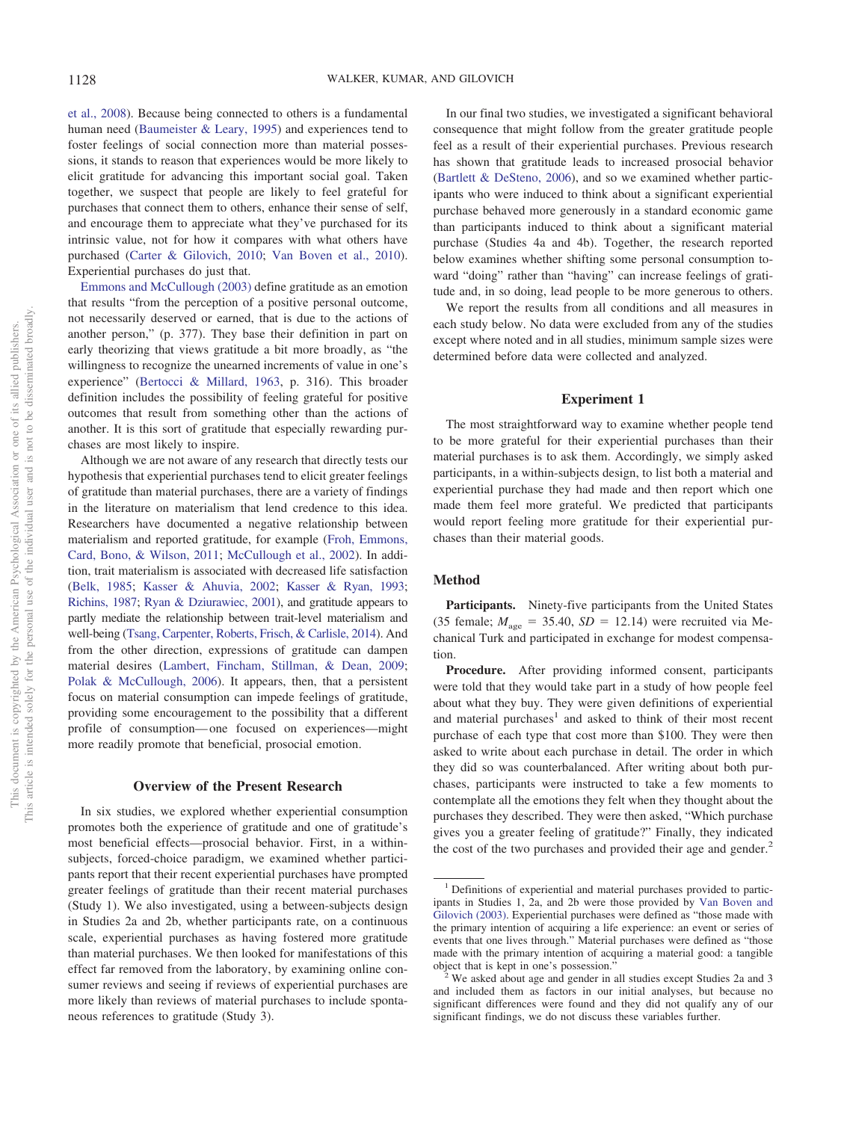[et al., 2008\)](#page-9-4). Because being connected to others is a fundamental human need [\(Baumeister & Leary, 1995\)](#page-8-13) and experiences tend to foster feelings of social connection more than material possessions, it stands to reason that experiences would be more likely to elicit gratitude for advancing this important social goal. Taken together, we suspect that people are likely to feel grateful for purchases that connect them to others, enhance their sense of self, and encourage them to appreciate what they've purchased for its intrinsic value, not for how it compares with what others have purchased [\(Carter & Gilovich, 2010;](#page-8-10) [Van Boven et al., 2010\)](#page-10-6). Experiential purchases do just that.

[Emmons and McCullough \(2003\)](#page-8-0) define gratitude as an emotion that results "from the perception of a positive personal outcome, not necessarily deserved or earned, that is due to the actions of another person," (p. 377). They base their definition in part on early theorizing that views gratitude a bit more broadly, as "the willingness to recognize the unearned increments of value in one's experience" [\(Bertocci & Millard, 1963,](#page-8-14) p. 316). This broader definition includes the possibility of feeling grateful for positive outcomes that result from something other than the actions of another. It is this sort of gratitude that especially rewarding purchases are most likely to inspire.

Although we are not aware of any research that directly tests our hypothesis that experiential purchases tend to elicit greater feelings of gratitude than material purchases, there are a variety of findings in the literature on materialism that lend credence to this idea. Researchers have documented a negative relationship between materialism and reported gratitude, for example [\(Froh, Emmons,](#page-9-24) [Card, Bono, & Wilson, 2011;](#page-9-24) [McCullough et al., 2002\)](#page-9-1). In addition, trait materialism is associated with decreased life satisfaction [\(Belk, 1985;](#page-8-15) [Kasser & Ahuvia, 2002;](#page-9-25) [Kasser & Ryan, 1993;](#page-9-26) [Richins, 1987;](#page-10-8) [Ryan & Dziurawiec, 2001\)](#page-10-9), and gratitude appears to partly mediate the relationship between trait-level materialism and well-being [\(Tsang, Carpenter, Roberts, Frisch, & Carlisle, 2014\)](#page-10-10). And from the other direction, expressions of gratitude can dampen material desires [\(Lambert, Fincham, Stillman, & Dean, 2009;](#page-9-27) [Polak & McCullough, 2006\)](#page-10-11). It appears, then, that a persistent focus on material consumption can impede feelings of gratitude, providing some encouragement to the possibility that a different profile of consumption— one focused on experiences—might more readily promote that beneficial, prosocial emotion.

# **Overview of the Present Research**

In six studies, we explored whether experiential consumption promotes both the experience of gratitude and one of gratitude's most beneficial effects—prosocial behavior. First, in a withinsubjects, forced-choice paradigm, we examined whether participants report that their recent experiential purchases have prompted greater feelings of gratitude than their recent material purchases (Study 1). We also investigated, using a between-subjects design in Studies 2a and 2b, whether participants rate, on a continuous scale, experiential purchases as having fostered more gratitude than material purchases. We then looked for manifestations of this effect far removed from the laboratory, by examining online consumer reviews and seeing if reviews of experiential purchases are more likely than reviews of material purchases to include spontaneous references to gratitude (Study 3).

In our final two studies, we investigated a significant behavioral consequence that might follow from the greater gratitude people feel as a result of their experiential purchases. Previous research has shown that gratitude leads to increased prosocial behavior [\(Bartlett & DeSteno, 2006\)](#page-8-5), and so we examined whether participants who were induced to think about a significant experiential purchase behaved more generously in a standard economic game than participants induced to think about a significant material purchase (Studies 4a and 4b). Together, the research reported below examines whether shifting some personal consumption toward "doing" rather than "having" can increase feelings of gratitude and, in so doing, lead people to be more generous to others.

We report the results from all conditions and all measures in each study below. No data were excluded from any of the studies except where noted and in all studies, minimum sample sizes were determined before data were collected and analyzed.

#### **Experiment 1**

The most straightforward way to examine whether people tend to be more grateful for their experiential purchases than their material purchases is to ask them. Accordingly, we simply asked participants, in a within-subjects design, to list both a material and experiential purchase they had made and then report which one made them feel more grateful. We predicted that participants would report feeling more gratitude for their experiential purchases than their material goods.

# **Method**

**Participants.** Ninety-five participants from the United States  $(35 \text{ female}; M_{\text{age}} = 35.40, SD = 12.14)$  were recruited via Mechanical Turk and participated in exchange for modest compensation.

**Procedure.** After providing informed consent, participants were told that they would take part in a study of how people feel about what they buy. They were given definitions of experiential and material purchases<sup>1</sup> and asked to think of their most recent purchase of each type that cost more than \$100. They were then asked to write about each purchase in detail. The order in which they did so was counterbalanced. After writing about both purchases, participants were instructed to take a few moments to contemplate all the emotions they felt when they thought about the purchases they described. They were then asked, "Which purchase gives you a greater feeling of gratitude?" Finally, they indicated the cost of the two purchases and provided their age and gender.<sup>2</sup>

<sup>&</sup>lt;sup>1</sup> Definitions of experiential and material purchases provided to participants in Studies 1, 2a, and 2b were those provided by [Van Boven and](#page-10-4) [Gilovich \(2003\).](#page-10-4) Experiential purchases were defined as "those made with the primary intention of acquiring a life experience: an event or series of events that one lives through." Material purchases were defined as "those made with the primary intention of acquiring a material good: a tangible<br>object that is kept in one's possession."<br> $\frac{2}{3}$ We selfed short:

We asked about age and gender in all studies except Studies 2a and 3 and included them as factors in our initial analyses, but because no significant differences were found and they did not qualify any of our significant findings, we do not discuss these variables further.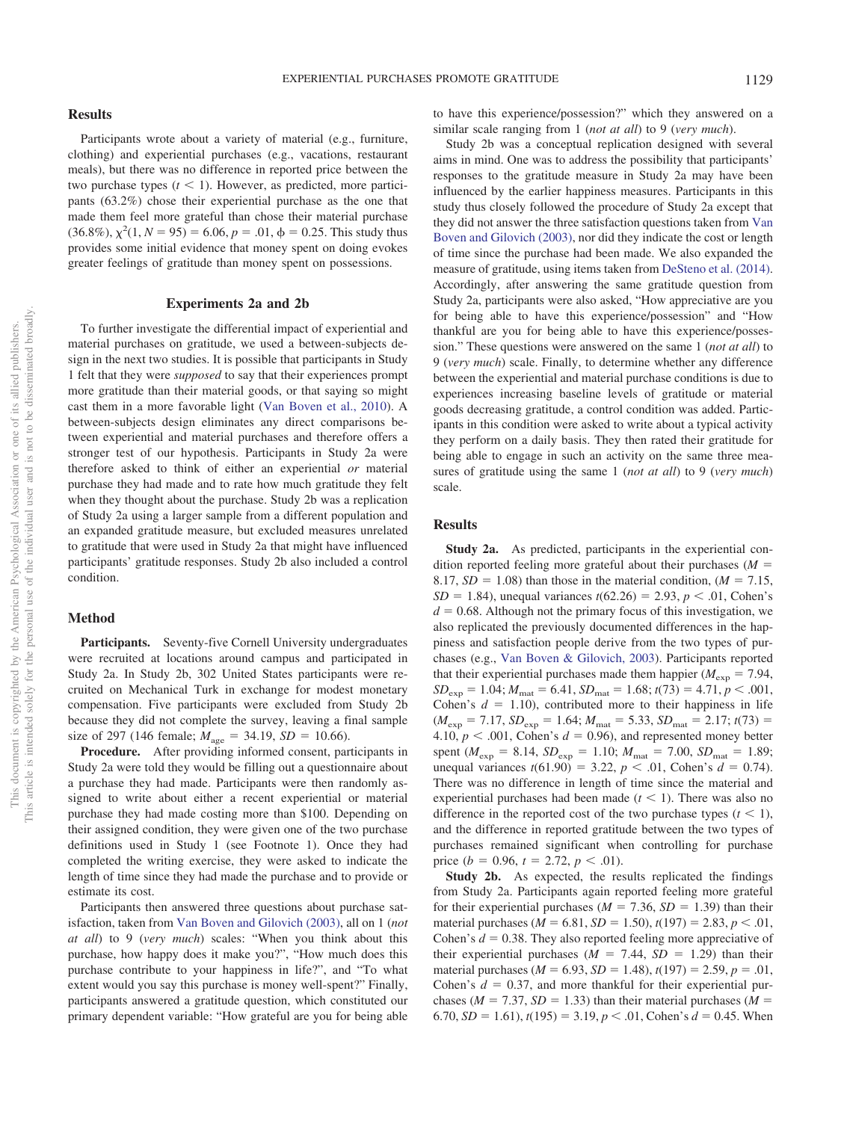#### **Results**

Participants wrote about a variety of material (e.g., furniture, clothing) and experiential purchases (e.g., vacations, restaurant meals), but there was no difference in reported price between the two purchase types  $(t < 1)$ . However, as predicted, more participants (63.2%) chose their experiential purchase as the one that made them feel more grateful than chose their material purchase  $(36.8\%), \chi^2(1, N = 95) = 6.06, p = .01, \phi = 0.25$ . This study thus provides some initial evidence that money spent on doing evokes greater feelings of gratitude than money spent on possessions.

#### **Experiments 2a and 2b**

To further investigate the differential impact of experiential and material purchases on gratitude, we used a between-subjects design in the next two studies. It is possible that participants in Study 1 felt that they were *supposed* to say that their experiences prompt more gratitude than their material goods, or that saying so might cast them in a more favorable light [\(Van Boven et al., 2010\)](#page-10-6). A between-subjects design eliminates any direct comparisons between experiential and material purchases and therefore offers a stronger test of our hypothesis. Participants in Study 2a were therefore asked to think of either an experiential *or* material purchase they had made and to rate how much gratitude they felt when they thought about the purchase. Study 2b was a replication of Study 2a using a larger sample from a different population and an expanded gratitude measure, but excluded measures unrelated to gratitude that were used in Study 2a that might have influenced participants' gratitude responses. Study 2b also included a control condition.

#### **Method**

Participants. Seventy-five Cornell University undergraduates were recruited at locations around campus and participated in Study 2a. In Study 2b, 302 United States participants were recruited on Mechanical Turk in exchange for modest monetary compensation. Five participants were excluded from Study 2b because they did not complete the survey, leaving a final sample size of 297 (146 female;  $M_{\text{age}} = 34.19$ ,  $SD = 10.66$ ).

**Procedure.** After providing informed consent, participants in Study 2a were told they would be filling out a questionnaire about a purchase they had made. Participants were then randomly assigned to write about either a recent experiential or material purchase they had made costing more than \$100. Depending on their assigned condition, they were given one of the two purchase definitions used in Study 1 (see Footnote 1). Once they had completed the writing exercise, they were asked to indicate the length of time since they had made the purchase and to provide or estimate its cost.

Participants then answered three questions about purchase satisfaction, taken from [Van Boven and Gilovich \(2003\),](#page-10-4) all on 1 (*not at all*) to 9 (*very much*) scales: "When you think about this purchase, how happy does it make you?", "How much does this purchase contribute to your happiness in life?", and "To what extent would you say this purchase is money well-spent?" Finally, participants answered a gratitude question, which constituted our primary dependent variable: "How grateful are you for being able

to have this experience/possession?" which they answered on a similar scale ranging from 1 (*not at all*) to 9 (*very much*).

Study 2b was a conceptual replication designed with several aims in mind. One was to address the possibility that participants' responses to the gratitude measure in Study 2a may have been influenced by the earlier happiness measures. Participants in this study thus closely followed the procedure of Study 2a except that they did not answer the three satisfaction questions taken from [Van](#page-10-4) [Boven and Gilovich \(2003\),](#page-10-4) nor did they indicate the cost or length of time since the purchase had been made. We also expanded the measure of gratitude, using items taken from [DeSteno et al. \(2014\).](#page-8-2) Accordingly, after answering the same gratitude question from Study 2a, participants were also asked, "How appreciative are you for being able to have this experience/possession" and "How thankful are you for being able to have this experience/possession." These questions were answered on the same 1 (*not at all*) to 9 (*very much*) scale. Finally, to determine whether any difference between the experiential and material purchase conditions is due to experiences increasing baseline levels of gratitude or material goods decreasing gratitude, a control condition was added. Participants in this condition were asked to write about a typical activity they perform on a daily basis. They then rated their gratitude for being able to engage in such an activity on the same three measures of gratitude using the same 1 (*not at all*) to 9 (*very much*) scale.

# **Results**

**Study 2a.** As predicted, participants in the experiential condition reported feeling more grateful about their purchases  $(M =$ 8.17,  $SD = 1.08$ ) than those in the material condition, ( $M = 7.15$ ,  $SD = 1.84$ ), unequal variances  $t(62.26) = 2.93$ ,  $p < .01$ , Cohen's  $d = 0.68$ . Although not the primary focus of this investigation, we also replicated the previously documented differences in the happiness and satisfaction people derive from the two types of purchases (e.g., [Van Boven & Gilovich, 2003\)](#page-10-4). Participants reported that their experiential purchases made them happier ( $M_{\rm exp} = 7.94$ ,  $SD_{exp} = 1.04$ ;  $M_{mat} = 6.41$ ,  $SD_{mat} = 1.68$ ;  $t(73) = 4.71$ ,  $p < .001$ , Cohen's  $d = 1.10$ ), contributed more to their happiness in life  $(M_{\text{exp}} = 7.17, SD_{\text{exp}} = 1.64; M_{\text{mat}} = 5.33, SD_{\text{mat}} = 2.17; t(73) =$ 4.10,  $p < .001$ , Cohen's  $d = 0.96$ ), and represented money better spent ( $M_{\text{exp}} = 8.14$ ,  $SD_{\text{exp}} = 1.10$ ;  $M_{\text{mat}} = 7.00$ ,  $SD_{\text{mat}} = 1.89$ ; unequal variances  $t(61.90) = 3.22$ ,  $p < .01$ , Cohen's  $d = 0.74$ ). There was no difference in length of time since the material and experiential purchases had been made  $(t < 1)$ . There was also no difference in the reported cost of the two purchase types  $(t < 1)$ , and the difference in reported gratitude between the two types of purchases remained significant when controlling for purchase price ( $b = 0.96$ ,  $t = 2.72$ ,  $p < .01$ ).

**Study 2b.** As expected, the results replicated the findings from Study 2a. Participants again reported feeling more grateful for their experiential purchases ( $M = 7.36$ ,  $SD = 1.39$ ) than their material purchases ( $M = 6.81$ ,  $SD = 1.50$ ),  $t(197) = 2.83$ ,  $p < .01$ , Cohen's  $d = 0.38$ . They also reported feeling more appreciative of their experiential purchases  $(M = 7.44, SD = 1.29)$  than their material purchases ( $M = 6.93$ ,  $SD = 1.48$ ),  $t(197) = 2.59$ ,  $p = .01$ , Cohen's  $d = 0.37$ , and more thankful for their experiential purchases ( $M = 7.37$ ,  $SD = 1.33$ ) than their material purchases ( $M =$ 6.70,  $SD = 1.61$ ),  $t(195) = 3.19$ ,  $p < .01$ , Cohen's  $d = 0.45$ . When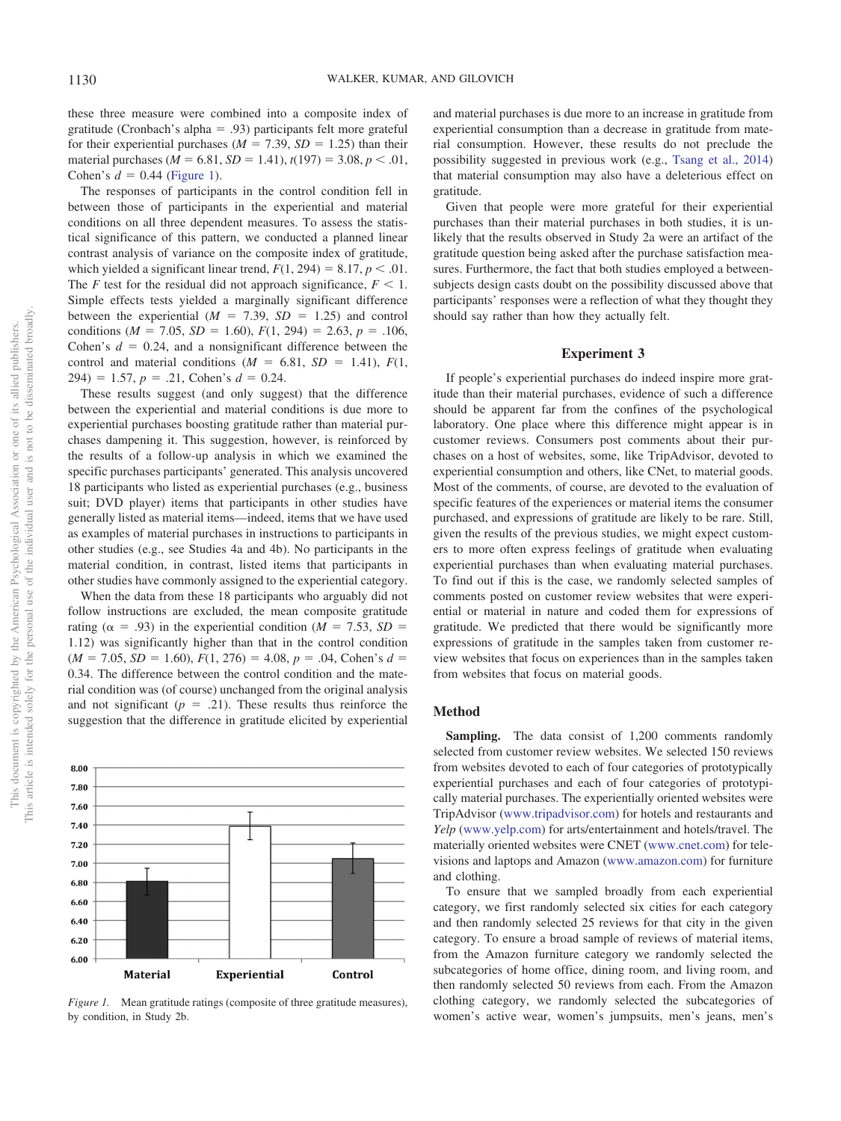these three measure were combined into a composite index of gratitude (Cronbach's alpha - .93) participants felt more grateful for their experiential purchases ( $M = 7.39$ ,  $SD = 1.25$ ) than their material purchases ( $M = 6.81$ ,  $SD = 1.41$ ),  $t(197) = 3.08$ ,  $p < .01$ , Cohen's  $d = 0.44$  [\(Figure 1\)](#page-4-0).

The responses of participants in the control condition fell in between those of participants in the experiential and material conditions on all three dependent measures. To assess the statistical significance of this pattern, we conducted a planned linear contrast analysis of variance on the composite index of gratitude, which yielded a significant linear trend,  $F(1, 294) = 8.17, p < .01$ . The *F* test for the residual did not approach significance,  $F < 1$ . Simple effects tests yielded a marginally significant difference between the experiential  $(M = 7.39, SD = 1.25)$  and control conditions ( $M = 7.05$ ,  $SD = 1.60$ ),  $F(1, 294) = 2.63$ ,  $p = .106$ , Cohen's  $d = 0.24$ , and a nonsignificant difference between the control and material conditions  $(M = 6.81, SD = 1.41), F(1,$  $294$ ) = 1.57,  $p = .21$ , Cohen's  $d = 0.24$ .

These results suggest (and only suggest) that the difference between the experiential and material conditions is due more to experiential purchases boosting gratitude rather than material purchases dampening it. This suggestion, however, is reinforced by the results of a follow-up analysis in which we examined the specific purchases participants' generated. This analysis uncovered 18 participants who listed as experiential purchases (e.g., business suit; DVD player) items that participants in other studies have generally listed as material items—indeed, items that we have used as examples of material purchases in instructions to participants in other studies (e.g., see Studies 4a and 4b). No participants in the material condition, in contrast, listed items that participants in other studies have commonly assigned to the experiential category.

When the data from these 18 participants who arguably did not follow instructions are excluded, the mean composite gratitude rating ( $\alpha$  = .93) in the experiential condition ( $M = 7.53$ ,  $SD =$ 1.12) was significantly higher than that in the control condition  $(M = 7.05, SD = 1.60), F(1, 276) = 4.08, p = .04$ , Cohen's  $d =$ 0.34. The difference between the control condition and the material condition was (of course) unchanged from the original analysis and not significant  $(p = .21)$ . These results thus reinforce the suggestion that the difference in gratitude elicited by experiential and material purchases is due more to an increase in gratitude from experiential consumption than a decrease in gratitude from material consumption. However, these results do not preclude the possibility suggested in previous work (e.g., [Tsang et al., 2014\)](#page-10-10) that material consumption may also have a deleterious effect on gratitude.

Given that people were more grateful for their experiential purchases than their material purchases in both studies, it is unlikely that the results observed in Study 2a were an artifact of the gratitude question being asked after the purchase satisfaction measures. Furthermore, the fact that both studies employed a betweensubjects design casts doubt on the possibility discussed above that participants' responses were a reflection of what they thought they should say rather than how they actually felt.

#### **Experiment 3**

If people's experiential purchases do indeed inspire more gratitude than their material purchases, evidence of such a difference should be apparent far from the confines of the psychological laboratory. One place where this difference might appear is in customer reviews. Consumers post comments about their purchases on a host of websites, some, like TripAdvisor, devoted to experiential consumption and others, like CNet, to material goods. Most of the comments, of course, are devoted to the evaluation of specific features of the experiences or material items the consumer purchased, and expressions of gratitude are likely to be rare. Still, given the results of the previous studies, we might expect customers to more often express feelings of gratitude when evaluating experiential purchases than when evaluating material purchases. To find out if this is the case, we randomly selected samples of comments posted on customer review websites that were experiential or material in nature and coded them for expressions of gratitude. We predicted that there would be significantly more expressions of gratitude in the samples taken from customer review websites that focus on experiences than in the samples taken from websites that focus on material goods.

# **Method**

**Sampling.** The data consist of 1,200 comments randomly selected from customer review websites. We selected 150 reviews from websites devoted to each of four categories of prototypically experiential purchases and each of four categories of prototypically material purchases. The experientially oriented websites were TripAdvisor [\(www.tripadvisor.com\)](http://www.tripadvisor.com) for hotels and restaurants and *Yelp* [\(www.yelp.com\)](http://www.yelp.com) for arts/entertainment and hotels/travel. The materially oriented websites were CNET [\(www.cnet.com\)](http://www.cnet.com) for televisions and laptops and Amazon [\(www.amazon.com\)](http://www.amazon.com) for furniture and clothing.

To ensure that we sampled broadly from each experiential category, we first randomly selected six cities for each category and then randomly selected 25 reviews for that city in the given category. To ensure a broad sample of reviews of material items, from the Amazon furniture category we randomly selected the subcategories of home office, dining room, and living room, and then randomly selected 50 reviews from each. From the Amazon clothing category, we randomly selected the subcategories of women's active wear, women's jumpsuits, men's jeans, men's



<span id="page-4-0"></span>*Figure 1.* Mean gratitude ratings (composite of three gratitude measures), by condition, in Study 2b.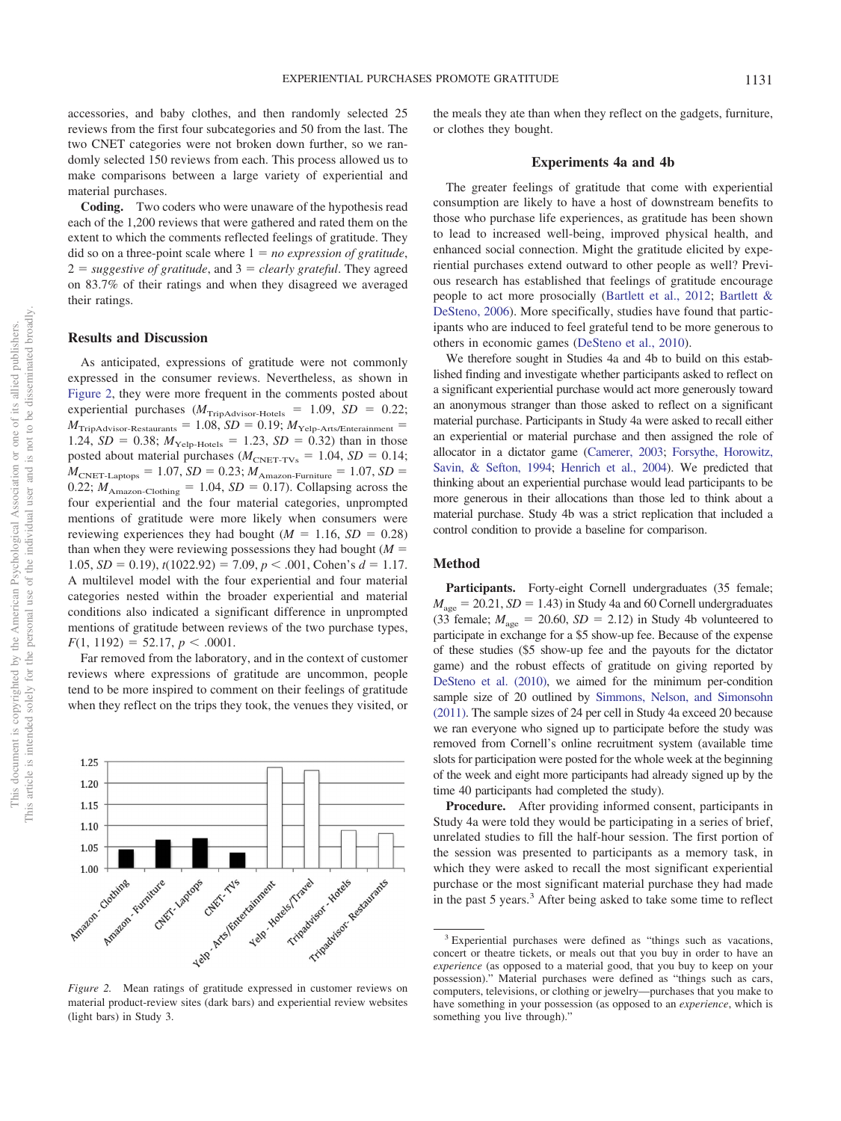accessories, and baby clothes, and then randomly selected 25 reviews from the first four subcategories and 50 from the last. The two CNET categories were not broken down further, so we randomly selected 150 reviews from each. This process allowed us to make comparisons between a large variety of experiential and material purchases.

**Coding.** Two coders who were unaware of the hypothesis read each of the 1,200 reviews that were gathered and rated them on the extent to which the comments reflected feelings of gratitude. They did so on a three-point scale where  $1 = no$  *expression of gratitude*,  $2 =$  *suggestive of gratitude*, and  $3 =$  *clearly grateful*. They agreed on 83.7% of their ratings and when they disagreed we averaged their ratings.

# **Results and Discussion**

As anticipated, expressions of gratitude were not commonly expressed in the consumer reviews. Nevertheless, as shown in [Figure 2,](#page-5-0) they were more frequent in the comments posted about experiential purchases  $(M_{TripAdvisor-Hotels} = 1.09, SD = 0.22;$  $M_{\text{TripAdvisor-Restaurants}} = 1.08, SD = 0.19; M_{\text{Yelp-Arts/Enterainment}} =$ 1.24,  $SD = 0.38$ ;  $M_{\text{Yelp-Hotels}} = 1.23$ ,  $SD = 0.32$ ) than in those posted about material purchases  $(M_{\text{CNET-TVs}} = 1.04, SD = 0.14;$  $M_{\text{CNET-Laptops}} = 1.07, SD = 0.23; M_{\text{Amaxon-Furniture}} = 1.07, SD = 0.23$ 0.22;  $M_{\text{Amaxon-Clotning}} = 1.04$ ,  $SD = 0.17$ ). Collapsing across the four experiential and the four material categories, unprompted mentions of gratitude were more likely when consumers were reviewing experiences they had bought  $(M = 1.16, SD = 0.28)$ than when they were reviewing possessions they had bought  $(M =$ 1.05,  $SD = 0.19$ ),  $t(1022.92) = 7.09$ ,  $p < .001$ , Cohen's  $d = 1.17$ . A multilevel model with the four experiential and four material categories nested within the broader experiential and material conditions also indicated a significant difference in unprompted mentions of gratitude between reviews of the two purchase types,  $F(1, 1192) = 52.17, p < .0001.$ 

Far removed from the laboratory, and in the context of customer reviews where expressions of gratitude are uncommon, people tend to be more inspired to comment on their feelings of gratitude when they reflect on the trips they took, the venues they visited, or



<span id="page-5-0"></span>*Figure 2.* Mean ratings of gratitude expressed in customer reviews on material product-review sites (dark bars) and experiential review websites (light bars) in Study 3.

the meals they ate than when they reflect on the gadgets, furniture, or clothes they bought.

#### **Experiments 4a and 4b**

The greater feelings of gratitude that come with experiential consumption are likely to have a host of downstream benefits to those who purchase life experiences, as gratitude has been shown to lead to increased well-being, improved physical health, and enhanced social connection. Might the gratitude elicited by experiential purchases extend outward to other people as well? Previous research has established that feelings of gratitude encourage people to act more prosocially [\(Bartlett et al., 2012;](#page-8-4) [Bartlett &](#page-8-5) [DeSteno, 2006\)](#page-8-5). More specifically, studies have found that participants who are induced to feel grateful tend to be more generous to others in economic games [\(DeSteno et al., 2010\)](#page-8-6).

We therefore sought in Studies 4a and 4b to build on this established finding and investigate whether participants asked to reflect on a significant experiential purchase would act more generously toward an anonymous stranger than those asked to reflect on a significant material purchase. Participants in Study 4a were asked to recall either an experiential or material purchase and then assigned the role of allocator in a dictator game [\(Camerer, 2003;](#page-8-16) [Forsythe, Horowitz,](#page-9-28) [Savin, & Sefton, 1994;](#page-9-28) [Henrich et al., 2004\)](#page-9-29). We predicted that thinking about an experiential purchase would lead participants to be more generous in their allocations than those led to think about a material purchase. Study 4b was a strict replication that included a control condition to provide a baseline for comparison.

#### **Method**

Participants. Forty-eight Cornell undergraduates (35 female;  $M_{\text{age}} = 20.21, SD = 1.43$  in Study 4a and 60 Cornell undergraduates (33 female;  $M_{\text{age}} = 20.60$ ,  $SD = 2.12$ ) in Study 4b volunteered to participate in exchange for a \$5 show-up fee. Because of the expense of these studies (\$5 show-up fee and the payouts for the dictator game) and the robust effects of gratitude on giving reported by [DeSteno et al. \(2010\),](#page-8-6) we aimed for the minimum per-condition sample size of 20 outlined by [Simmons, Nelson, and Simonsohn](#page-10-12) [\(2011\).](#page-10-12) The sample sizes of 24 per cell in Study 4a exceed 20 because we ran everyone who signed up to participate before the study was removed from Cornell's online recruitment system (available time slots for participation were posted for the whole week at the beginning of the week and eight more participants had already signed up by the time 40 participants had completed the study).

**Procedure.** After providing informed consent, participants in Study 4a were told they would be participating in a series of brief, unrelated studies to fill the half-hour session. The first portion of the session was presented to participants as a memory task, in which they were asked to recall the most significant experiential purchase or the most significant material purchase they had made in the past 5 years.<sup>3</sup> After being asked to take some time to reflect

<sup>3</sup> Experiential purchases were defined as "things such as vacations, concert or theatre tickets, or meals out that you buy in order to have an *experience* (as opposed to a material good, that you buy to keep on your possession)." Material purchases were defined as "things such as cars, computers, televisions, or clothing or jewelry—purchases that you make to have something in your possession (as opposed to an *experience*, which is something you live through)."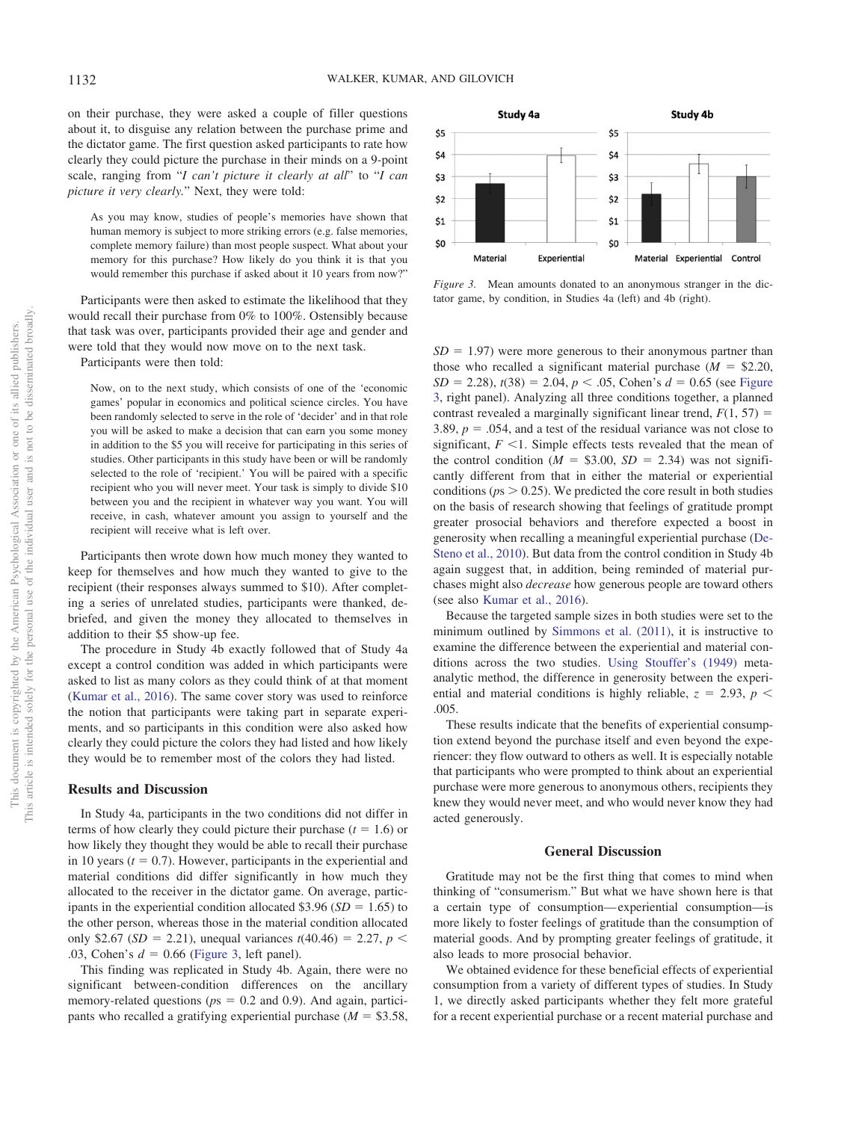on their purchase, they were asked a couple of filler questions about it, to disguise any relation between the purchase prime and the dictator game. The first question asked participants to rate how clearly they could picture the purchase in their minds on a 9-point scale, ranging from "*I can't picture it clearly at all*" to "*I can picture it very clearly.*" Next, they were told:

As you may know, studies of people's memories have shown that human memory is subject to more striking errors (e.g. false memories, complete memory failure) than most people suspect. What about your memory for this purchase? How likely do you think it is that you would remember this purchase if asked about it 10 years from now?"

Participants were then asked to estimate the likelihood that they would recall their purchase from 0% to 100%. Ostensibly because that task was over, participants provided their age and gender and were told that they would now move on to the next task. Participants were then told:

Now, on to the next study, which consists of one of the 'economic games' popular in economics and political science circles. You have been randomly selected to serve in the role of 'decider' and in that role

you will be asked to make a decision that can earn you some money in addition to the \$5 you will receive for participating in this series of studies. Other participants in this study have been or will be randomly selected to the role of 'recipient.' You will be paired with a specific recipient who you will never meet. Your task is simply to divide \$10 between you and the recipient in whatever way you want. You will receive, in cash, whatever amount you assign to yourself and the recipient will receive what is left over.

Participants then wrote down how much money they wanted to keep for themselves and how much they wanted to give to the recipient (their responses always summed to \$10). After completing a series of unrelated studies, participants were thanked, debriefed, and given the money they allocated to themselves in addition to their \$5 show-up fee.

The procedure in Study 4b exactly followed that of Study 4a except a control condition was added in which participants were asked to list as many colors as they could think of at that moment [\(Kumar et al., 2016\)](#page-9-14). The same cover story was used to reinforce the notion that participants were taking part in separate experiments, and so participants in this condition were also asked how clearly they could picture the colors they had listed and how likely they would be to remember most of the colors they had listed.

# **Results and Discussion**

In Study 4a, participants in the two conditions did not differ in terms of how clearly they could picture their purchase  $(t = 1.6)$  or how likely they thought they would be able to recall their purchase in 10 years  $(t = 0.7)$ . However, participants in the experiential and material conditions did differ significantly in how much they allocated to the receiver in the dictator game. On average, participants in the experiential condition allocated  $$3.96 (SD = 1.65)$  to the other person, whereas those in the material condition allocated only \$2.67 (*SD* = 2.21), unequal variances  $t(40.46) = 2.27$ ,  $p <$ .03, Cohen's  $d = 0.66$  [\(Figure 3,](#page-6-0) left panel).

This finding was replicated in Study 4b. Again, there were no significant between-condition differences on the ancillary memory-related questions ( $ps = 0.2$  and 0.9). And again, participants who recalled a gratifying experiential purchase  $(M = $3.58,$ 



<span id="page-6-0"></span>*Figure 3.* Mean amounts donated to an anonymous stranger in the dictator game, by condition, in Studies 4a (left) and 4b (right).

 $SD = 1.97$ ) were more generous to their anonymous partner than those who recalled a significant material purchase  $(M = $2.20,$  $SD = 2.28$ ),  $t(38) = 2.04$ ,  $p < .05$ , Cohen's  $d = 0.65$  (see [Figure](#page-6-0) [3,](#page-6-0) right panel). Analyzing all three conditions together, a planned contrast revealed a marginally significant linear trend,  $F(1, 57) =$ 3.89,  $p = 0.054$ , and a test of the residual variance was not close to significant,  $F \leq 1$ . Simple effects tests revealed that the mean of the control condition ( $M = $3.00$ ,  $SD = 2.34$ ) was not significantly different from that in either the material or experiential conditions ( $p_s$   $>$  0.25). We predicted the core result in both studies on the basis of research showing that feelings of gratitude prompt greater prosocial behaviors and therefore expected a boost in generosity when recalling a meaningful experiential purchase [\(De-](#page-8-6)[Steno et al., 2010\)](#page-8-6). But data from the control condition in Study 4b again suggest that, in addition, being reminded of material purchases might also *decrease* how generous people are toward others (see also [Kumar et al., 2016\)](#page-9-14).

Because the targeted sample sizes in both studies were set to the minimum outlined by [Simmons et al. \(2011\),](#page-10-12) it is instructive to examine the difference between the experiential and material conditions across the two studies. [Using Stouffer's \(1949\)](#page-10-13) metaanalytic method, the difference in generosity between the experiential and material conditions is highly reliable,  $z = 2.93$ ,  $p <$ .005.

These results indicate that the benefits of experiential consumption extend beyond the purchase itself and even beyond the experiencer: they flow outward to others as well. It is especially notable that participants who were prompted to think about an experiential purchase were more generous to anonymous others, recipients they knew they would never meet, and who would never know they had acted generously.

#### **General Discussion**

Gratitude may not be the first thing that comes to mind when thinking of "consumerism." But what we have shown here is that a certain type of consumption— experiential consumption—is more likely to foster feelings of gratitude than the consumption of material goods. And by prompting greater feelings of gratitude, it also leads to more prosocial behavior.

We obtained evidence for these beneficial effects of experiential consumption from a variety of different types of studies. In Study 1, we directly asked participants whether they felt more grateful for a recent experiential purchase or a recent material purchase and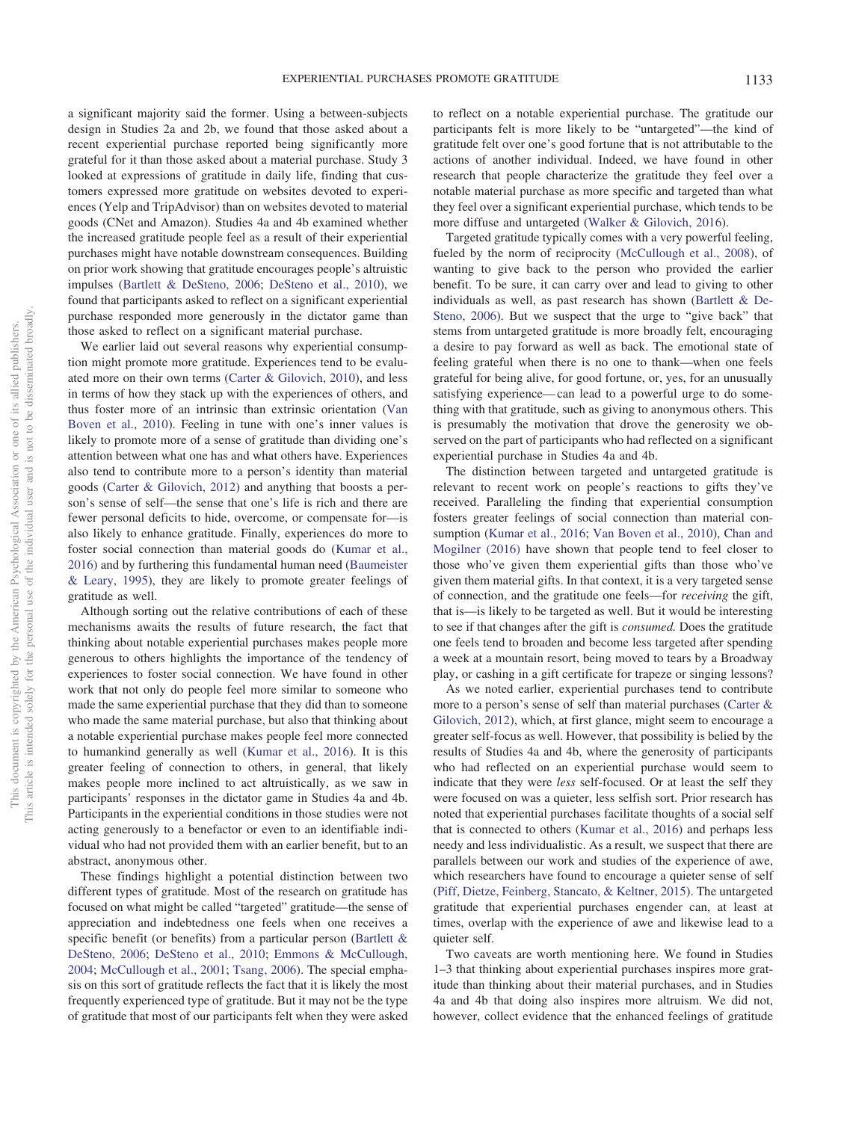a significant majority said the former. Using a between-subjects design in Studies 2a and 2b, we found that those asked about a recent experiential purchase reported being significantly more grateful for it than those asked about a material purchase. Study 3 looked at expressions of gratitude in daily life, finding that customers expressed more gratitude on websites devoted to experiences (Yelp and TripAdvisor) than on websites devoted to material goods (CNet and Amazon). Studies 4a and 4b examined whether the increased gratitude people feel as a result of their experiential purchases might have notable downstream consequences. Building on prior work showing that gratitude encourages people's altruistic impulses [\(Bartlett & DeSteno, 2006;](#page-8-5) [DeSteno et al., 2010\)](#page-8-6), we found that participants asked to reflect on a significant experiential purchase responded more generously in the dictator game than those asked to reflect on a significant material purchase.

We earlier laid out several reasons why experiential consumption might promote more gratitude. Experiences tend to be evaluated more on their own terms [\(Carter & Gilovich, 2010\)](#page-8-10), and less in terms of how they stack up with the experiences of others, and thus foster more of an intrinsic than extrinsic orientation [\(Van](#page-10-6) [Boven et al., 2010\)](#page-10-6). Feeling in tune with one's inner values is likely to promote more of a sense of gratitude than dividing one's attention between what one has and what others have. Experiences also tend to contribute more to a person's identity than material goods [\(Carter & Gilovich, 2012\)](#page-8-11) and anything that boosts a person's sense of self—the sense that one's life is rich and there are fewer personal deficits to hide, overcome, or compensate for—is also likely to enhance gratitude. Finally, experiences do more to foster social connection than material goods do [\(Kumar et al.,](#page-9-14) [2016\)](#page-9-14) and by furthering this fundamental human need [\(Baumeister](#page-8-13) [& Leary, 1995\)](#page-8-13), they are likely to promote greater feelings of gratitude as well.

Although sorting out the relative contributions of each of these mechanisms awaits the results of future research, the fact that thinking about notable experiential purchases makes people more generous to others highlights the importance of the tendency of experiences to foster social connection. We have found in other work that not only do people feel more similar to someone who made the same experiential purchase that they did than to someone who made the same material purchase, but also that thinking about a notable experiential purchase makes people feel more connected to humankind generally as well [\(Kumar et al., 2016\)](#page-9-14). It is this greater feeling of connection to others, in general, that likely makes people more inclined to act altruistically, as we saw in participants' responses in the dictator game in Studies 4a and 4b. Participants in the experiential conditions in those studies were not acting generously to a benefactor or even to an identifiable individual who had not provided them with an earlier benefit, but to an abstract, anonymous other.

These findings highlight a potential distinction between two different types of gratitude. Most of the research on gratitude has focused on what might be called "targeted" gratitude—the sense of appreciation and indebtedness one feels when one receives a specific benefit (or benefits) from a particular person [\(Bartlett &](#page-8-5) [DeSteno, 2006;](#page-8-5) [DeSteno et al., 2010;](#page-8-6) [Emmons & McCullough,](#page-8-17) [2004;](#page-8-17) [McCullough et al., 2001;](#page-9-23) [Tsang, 2006\)](#page-10-14). The special emphasis on this sort of gratitude reflects the fact that it is likely the most frequently experienced type of gratitude. But it may not be the type of gratitude that most of our participants felt when they were asked to reflect on a notable experiential purchase. The gratitude our participants felt is more likely to be "untargeted"—the kind of gratitude felt over one's good fortune that is not attributable to the actions of another individual. Indeed, we have found in other research that people characterize the gratitude they feel over a notable material purchase as more specific and targeted than what they feel over a significant experiential purchase, which tends to be more diffuse and untargeted [\(Walker & Gilovich, 2016\)](#page-10-15).

Targeted gratitude typically comes with a very powerful feeling, fueled by the norm of reciprocity [\(McCullough et al., 2008\)](#page-9-4), of wanting to give back to the person who provided the earlier benefit. To be sure, it can carry over and lead to giving to other individuals as well, as past research has shown [\(Bartlett & De-](#page-8-5)[Steno, 2006\)](#page-8-5). But we suspect that the urge to "give back" that stems from untargeted gratitude is more broadly felt, encouraging a desire to pay forward as well as back. The emotional state of feeling grateful when there is no one to thank—when one feels grateful for being alive, for good fortune, or, yes, for an unusually satisfying experience— can lead to a powerful urge to do something with that gratitude, such as giving to anonymous others. This is presumably the motivation that drove the generosity we observed on the part of participants who had reflected on a significant experiential purchase in Studies 4a and 4b.

The distinction between targeted and untargeted gratitude is relevant to recent work on people's reactions to gifts they've received. Paralleling the finding that experiential consumption fosters greater feelings of social connection than material consumption [\(Kumar et al., 2016;](#page-9-14) [Van Boven et al., 2010\)](#page-10-6), [Chan and](#page-8-12) [Mogilner \(2016\)](#page-8-12) have shown that people tend to feel closer to those who've given them experiential gifts than those who've given them material gifts. In that context, it is a very targeted sense of connection, and the gratitude one feels—for *receiving* the gift, that is—is likely to be targeted as well. But it would be interesting to see if that changes after the gift is *consumed.* Does the gratitude one feels tend to broaden and become less targeted after spending a week at a mountain resort, being moved to tears by a Broadway play, or cashing in a gift certificate for trapeze or singing lessons?

As we noted earlier, experiential purchases tend to contribute more to a person's sense of self than material purchases [\(Carter &](#page-8-11) [Gilovich, 2012\)](#page-8-11), which, at first glance, might seem to encourage a greater self-focus as well. However, that possibility is belied by the results of Studies 4a and 4b, where the generosity of participants who had reflected on an experiential purchase would seem to indicate that they were *less* self-focused. Or at least the self they were focused on was a quieter, less selfish sort. Prior research has noted that experiential purchases facilitate thoughts of a social self that is connected to others [\(Kumar et al., 2016\)](#page-9-14) and perhaps less needy and less individualistic. As a result, we suspect that there are parallels between our work and studies of the experience of awe, which researchers have found to encourage a quieter sense of self [\(Piff, Dietze, Feinberg, Stancato, & Keltner, 2015\)](#page-10-16). The untargeted gratitude that experiential purchases engender can, at least at times, overlap with the experience of awe and likewise lead to a quieter self.

Two caveats are worth mentioning here. We found in Studies 1–3 that thinking about experiential purchases inspires more gratitude than thinking about their material purchases, and in Studies 4a and 4b that doing also inspires more altruism. We did not, however, collect evidence that the enhanced feelings of gratitude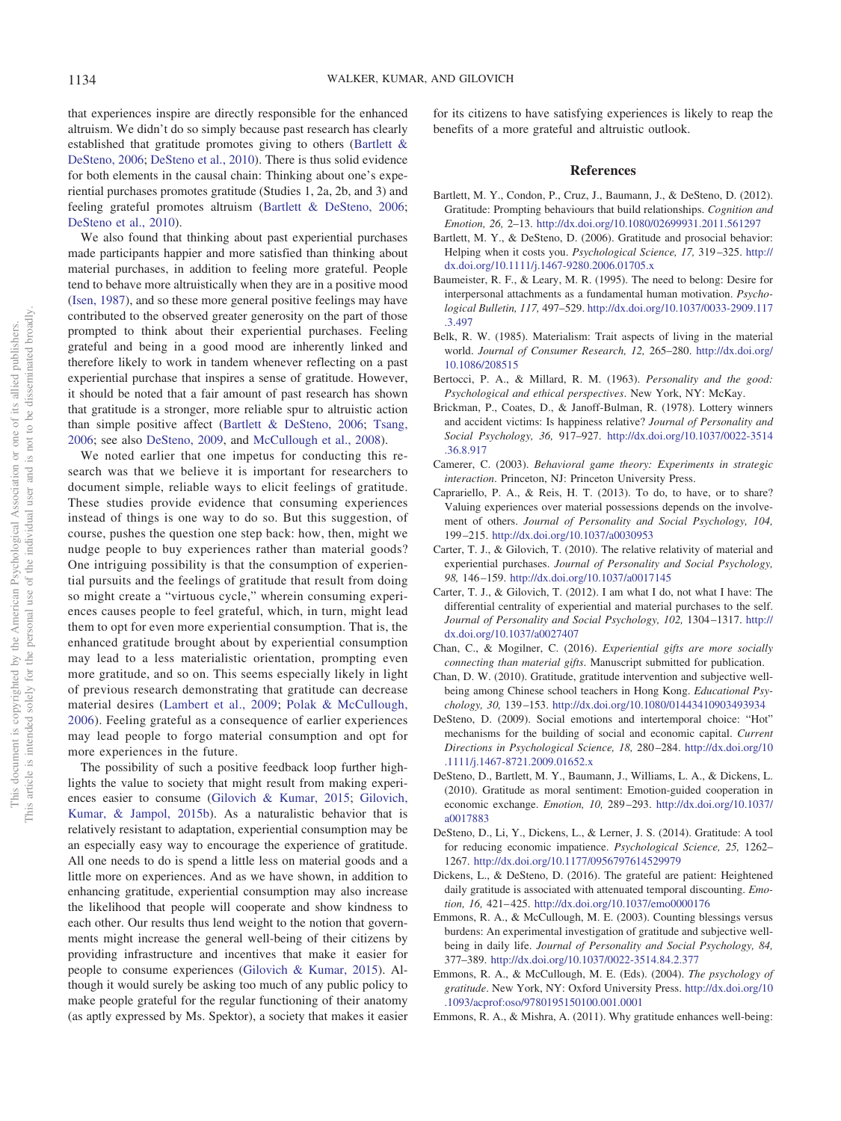that experiences inspire are directly responsible for the enhanced altruism. We didn't do so simply because past research has clearly established that gratitude promotes giving to others [\(Bartlett &](#page-8-5) [DeSteno, 2006;](#page-8-5) [DeSteno et al., 2010\)](#page-8-6). There is thus solid evidence for both elements in the causal chain: Thinking about one's experiential purchases promotes gratitude (Studies 1, 2a, 2b, and 3) and feeling grateful promotes altruism [\(Bartlett & DeSteno, 2006;](#page-8-5) [DeSteno et al., 2010\)](#page-8-6).

We also found that thinking about past experiential purchases made participants happier and more satisfied than thinking about material purchases, in addition to feeling more grateful. People tend to behave more altruistically when they are in a positive mood [\(Isen, 1987\)](#page-9-30), and so these more general positive feelings may have contributed to the observed greater generosity on the part of those prompted to think about their experiential purchases. Feeling grateful and being in a good mood are inherently linked and therefore likely to work in tandem whenever reflecting on a past experiential purchase that inspires a sense of gratitude. However, it should be noted that a fair amount of past research has shown that gratitude is a stronger, more reliable spur to altruistic action than simple positive affect [\(Bartlett & DeSteno, 2006;](#page-8-5) [Tsang,](#page-10-14) [2006;](#page-10-14) see also [DeSteno, 2009,](#page-8-18) and [McCullough et al., 2008\)](#page-9-4).

We noted earlier that one impetus for conducting this research was that we believe it is important for researchers to document simple, reliable ways to elicit feelings of gratitude. These studies provide evidence that consuming experiences instead of things is one way to do so. But this suggestion, of course, pushes the question one step back: how, then, might we nudge people to buy experiences rather than material goods? One intriguing possibility is that the consumption of experiential pursuits and the feelings of gratitude that result from doing so might create a "virtuous cycle," wherein consuming experiences causes people to feel grateful, which, in turn, might lead them to opt for even more experiential consumption. That is, the enhanced gratitude brought about by experiential consumption may lead to a less materialistic orientation, prompting even more gratitude, and so on. This seems especially likely in light of previous research demonstrating that gratitude can decrease material desires [\(Lambert et al., 2009;](#page-9-27) [Polak & McCullough,](#page-10-11) [2006\)](#page-10-11). Feeling grateful as a consequence of earlier experiences may lead people to forgo material consumption and opt for more experiences in the future.

The possibility of such a positive feedback loop further highlights the value to society that might result from making experiences easier to consume [\(Gilovich & Kumar, 2015;](#page-9-19) [Gilovich,](#page-9-31) [Kumar, & Jampol, 2015b\)](#page-9-31). As a naturalistic behavior that is relatively resistant to adaptation, experiential consumption may be an especially easy way to encourage the experience of gratitude. All one needs to do is spend a little less on material goods and a little more on experiences. And as we have shown, in addition to enhancing gratitude, experiential consumption may also increase the likelihood that people will cooperate and show kindness to each other. Our results thus lend weight to the notion that governments might increase the general well-being of their citizens by providing infrastructure and incentives that make it easier for people to consume experiences [\(Gilovich & Kumar, 2015\)](#page-9-19). Although it would surely be asking too much of any public policy to make people grateful for the regular functioning of their anatomy (as aptly expressed by Ms. Spektor), a society that makes it easier

for its citizens to have satisfying experiences is likely to reap the benefits of a more grateful and altruistic outlook.

#### **References**

- <span id="page-8-4"></span>Bartlett, M. Y., Condon, P., Cruz, J., Baumann, J., & DeSteno, D. (2012). Gratitude: Prompting behaviours that build relationships. *Cognition and Emotion, 26,* 2–13. <http://dx.doi.org/10.1080/02699931.2011.561297>
- <span id="page-8-5"></span>Bartlett, M. Y., & DeSteno, D. (2006). Gratitude and prosocial behavior: Helping when it costs you. *Psychological Science, 17,* 319 –325. [http://](http://dx.doi.org/10.1111/j.1467-9280.2006.01705.x) [dx.doi.org/10.1111/j.1467-9280.2006.01705.x](http://dx.doi.org/10.1111/j.1467-9280.2006.01705.x)
- <span id="page-8-13"></span>Baumeister, R. F., & Leary, M. R. (1995). The need to belong: Desire for interpersonal attachments as a fundamental human motivation. *Psychological Bulletin, 117,* 497–529. [http://dx.doi.org/10.1037/0033-2909.117](http://dx.doi.org/10.1037/0033-2909.117.3.497) [.3.497](http://dx.doi.org/10.1037/0033-2909.117.3.497)
- <span id="page-8-15"></span>Belk, R. W. (1985). Materialism: Trait aspects of living in the material world. *Journal of Consumer Research, 12,* 265–280. [http://dx.doi.org/](http://dx.doi.org/10.1086/208515) [10.1086/208515](http://dx.doi.org/10.1086/208515)
- <span id="page-8-14"></span>Bertocci, P. A., & Millard, R. M. (1963). *Personality and the good: Psychological and ethical perspectives*. New York, NY: McKay.
- <span id="page-8-8"></span>Brickman, P., Coates, D., & Janoff-Bulman, R. (1978). Lottery winners and accident victims: Is happiness relative? *Journal of Personality and Social Psychology, 36,* 917–927. [http://dx.doi.org/10.1037/0022-3514](http://dx.doi.org/10.1037/0022-3514.36.8.917) [.36.8.917](http://dx.doi.org/10.1037/0022-3514.36.8.917)
- <span id="page-8-16"></span>Camerer, C. (2003). *Behavioral game theory: Experiments in strategic interaction*. Princeton, NJ: Princeton University Press.
- <span id="page-8-9"></span>Caprariello, P. A., & Reis, H. T. (2013). To do, to have, or to share? Valuing experiences over material possessions depends on the involvement of others. *Journal of Personality and Social Psychology, 104,* 199 –215. <http://dx.doi.org/10.1037/a0030953>
- <span id="page-8-10"></span>Carter, T. J., & Gilovich, T. (2010). The relative relativity of material and experiential purchases. *Journal of Personality and Social Psychology, 98,* 146 –159. <http://dx.doi.org/10.1037/a0017145>
- <span id="page-8-11"></span>Carter, T. J., & Gilovich, T. (2012). I am what I do, not what I have: The differential centrality of experiential and material purchases to the self. *Journal of Personality and Social Psychology, 102,* 1304 –1317. [http://](http://dx.doi.org/10.1037/a0027407) [dx.doi.org/10.1037/a0027407](http://dx.doi.org/10.1037/a0027407)
- <span id="page-8-12"></span>Chan, C., & Mogilner, C. (2016). *Experiential gifts are more socially connecting than material gifts*. Manuscript submitted for publication.
- <span id="page-8-7"></span>Chan, D. W. (2010). Gratitude, gratitude intervention and subjective wellbeing among Chinese school teachers in Hong Kong. *Educational Psychology, 30,* 139 –153. <http://dx.doi.org/10.1080/01443410903493934>
- <span id="page-8-18"></span>DeSteno, D. (2009). Social emotions and intertemporal choice: "Hot" mechanisms for the building of social and economic capital. *Current Directions in Psychological Science, 18,* 280 –284. [http://dx.doi.org/10](http://dx.doi.org/10.1111/j.1467-8721.2009.01652.x) [.1111/j.1467-8721.2009.01652.x](http://dx.doi.org/10.1111/j.1467-8721.2009.01652.x)
- <span id="page-8-6"></span>DeSteno, D., Bartlett, M. Y., Baumann, J., Williams, L. A., & Dickens, L. (2010). Gratitude as moral sentiment: Emotion-guided cooperation in economic exchange. *Emotion, 10,* 289 –293. [http://dx.doi.org/10.1037/](http://dx.doi.org/10.1037/a0017883) [a0017883](http://dx.doi.org/10.1037/a0017883)
- <span id="page-8-2"></span>DeSteno, D., Li, Y., Dickens, L., & Lerner, J. S. (2014). Gratitude: A tool for reducing economic impatience. *Psychological Science, 25,* 1262– 1267. <http://dx.doi.org/10.1177/0956797614529979>
- <span id="page-8-3"></span>Dickens, L., & DeSteno, D. (2016). The grateful are patient: Heightened daily gratitude is associated with attenuated temporal discounting. *Emotion, 16,* 421– 425. <http://dx.doi.org/10.1037/emo0000176>
- <span id="page-8-0"></span>Emmons, R. A., & McCullough, M. E. (2003). Counting blessings versus burdens: An experimental investigation of gratitude and subjective wellbeing in daily life. *Journal of Personality and Social Psychology, 84,* 377–389. <http://dx.doi.org/10.1037/0022-3514.84.2.377>
- <span id="page-8-17"></span>Emmons, R. A., & McCullough, M. E. (Eds). (2004). *The psychology of gratitude*. New York, NY: Oxford University Press. [http://dx.doi.org/10](http://dx.doi.org/10.1093/acprof:oso/9780195150100.001.0001) [.1093/acprof:oso/9780195150100.001.0001](http://dx.doi.org/10.1093/acprof:oso/9780195150100.001.0001)
- <span id="page-8-1"></span>Emmons, R. A., & Mishra, A. (2011). Why gratitude enhances well-being: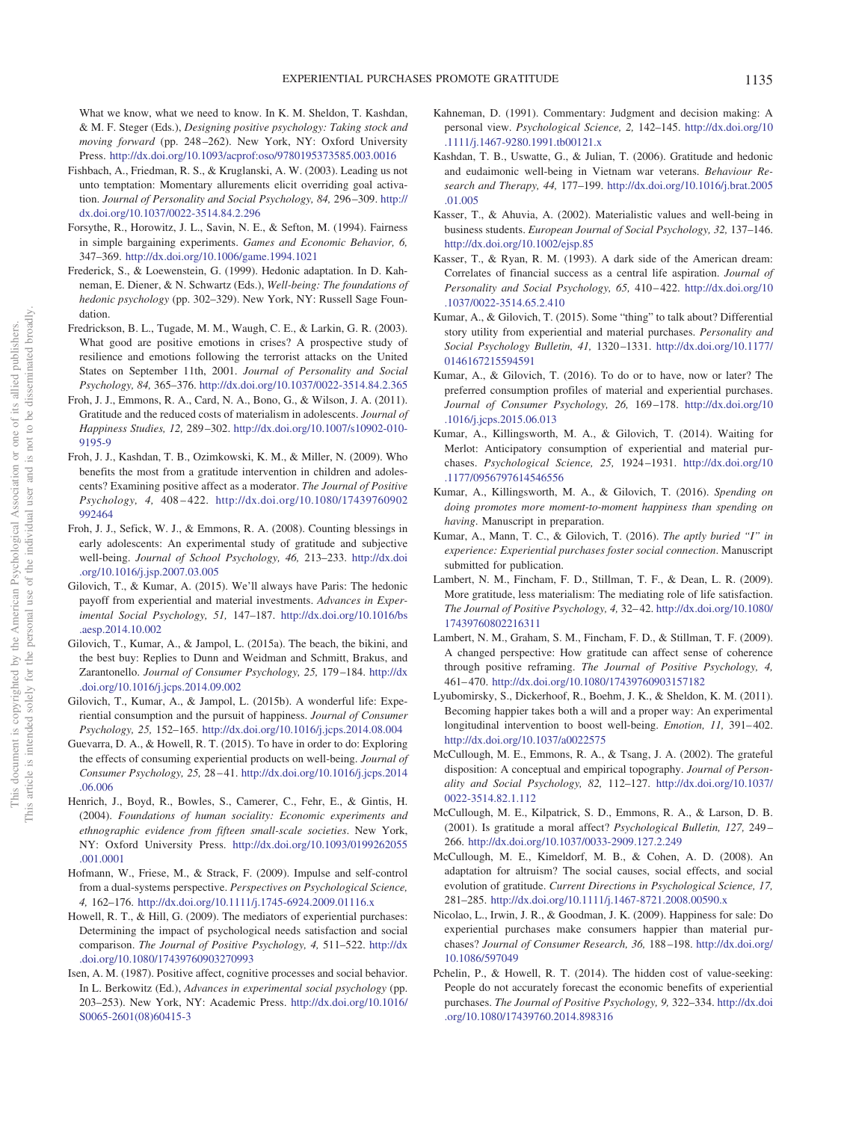What we know, what we need to know. In K. M. Sheldon, T. Kashdan, & M. F. Steger (Eds.), *Designing positive psychology: Taking stock and moving forward* (pp. 248 –262). New York, NY: Oxford University Press. <http://dx.doi.org/10.1093/acprof:oso/9780195373585.003.0016>

- <span id="page-9-10"></span>Fishbach, A., Friedman, R. S., & Kruglanski, A. W. (2003). Leading us not unto temptation: Momentary allurements elicit overriding goal activation. *Journal of Personality and Social Psychology, 84,* 296 –309. [http://](http://dx.doi.org/10.1037/0022-3514.84.2.296) [dx.doi.org/10.1037/0022-3514.84.2.296](http://dx.doi.org/10.1037/0022-3514.84.2.296)
- <span id="page-9-28"></span>Forsythe, R., Horowitz, J. L., Savin, N. E., & Sefton, M. (1994). Fairness in simple bargaining experiments. *Games and Economic Behavior, 6,* 347–369. <http://dx.doi.org/10.1006/game.1994.1021>
- <span id="page-9-8"></span>Frederick, S., & Loewenstein, G. (1999). Hedonic adaptation. In D. Kahneman, E. Diener, & N. Schwartz (Eds.), *Well-being: The foundations of hedonic psychology* (pp. 302–329). New York, NY: Russell Sage Foundation.
- <span id="page-9-0"></span>Fredrickson, B. L., Tugade, M. M., Waugh, C. E., & Larkin, G. R. (2003). What good are positive emotions in crises? A prospective study of resilience and emotions following the terrorist attacks on the United States on September 11th, 2001. *Journal of Personality and Social Psychology, 84,* 365–376. <http://dx.doi.org/10.1037/0022-3514.84.2.365>
- <span id="page-9-24"></span>Froh, J. J., Emmons, R. A., Card, N. A., Bono, G., & Wilson, J. A. (2011). Gratitude and the reduced costs of materialism in adolescents. *Journal of Happiness Studies, 12,* 289 –302. [http://dx.doi.org/10.1007/s10902-010-](http://dx.doi.org/10.1007/s10902-010-9195-9) [9195-9](http://dx.doi.org/10.1007/s10902-010-9195-9)
- <span id="page-9-7"></span>Froh, J. J., Kashdan, T. B., Ozimkowski, K. M., & Miller, N. (2009). Who benefits the most from a gratitude intervention in children and adolescents? Examining positive affect as a moderator. *The Journal of Positive Psychology, 4,* 408 – 422. [http://dx.doi.org/10.1080/17439760902](http://dx.doi.org/10.1080/17439760902992464) [992464](http://dx.doi.org/10.1080/17439760902992464)
- <span id="page-9-6"></span>Froh, J. J., Sefick, W. J., & Emmons, R. A. (2008). Counting blessings in early adolescents: An experimental study of gratitude and subjective well-being. *Journal of School Psychology, 46,* 213–233. [http://dx.doi](http://dx.doi.org/10.1016/j.jsp.2007.03.005) [.org/10.1016/j.jsp.2007.03.005](http://dx.doi.org/10.1016/j.jsp.2007.03.005)
- <span id="page-9-19"></span>Gilovich, T., & Kumar, A. (2015). We'll always have Paris: The hedonic payoff from experiential and material investments. *Advances in Experimental Social Psychology, 51,* 147–187. [http://dx.doi.org/10.1016/bs](http://dx.doi.org/10.1016/bs.aesp.2014.10.002) [.aesp.2014.10.002](http://dx.doi.org/10.1016/bs.aesp.2014.10.002)
- <span id="page-9-20"></span>Gilovich, T., Kumar, A., & Jampol, L. (2015a). The beach, the bikini, and the best buy: Replies to Dunn and Weidman and Schmitt, Brakus, and Zarantonello. *Journal of Consumer Psychology, 25,* 179 –184. [http://dx](http://dx.doi.org/10.1016/j.jcps.2014.09.002) [.doi.org/10.1016/j.jcps.2014.09.002](http://dx.doi.org/10.1016/j.jcps.2014.09.002)
- <span id="page-9-31"></span>Gilovich, T., Kumar, A., & Jampol, L. (2015b). A wonderful life: Experiential consumption and the pursuit of happiness. *Journal of Consumer Psychology, 25,* 152–165. <http://dx.doi.org/10.1016/j.jcps.2014.08.004>
- <span id="page-9-21"></span>Guevarra, D. A., & Howell, R. T. (2015). To have in order to do: Exploring the effects of consuming experiential products on well-being. *Journal of Consumer Psychology, 25,* 28 – 41. [http://dx.doi.org/10.1016/j.jcps.2014](http://dx.doi.org/10.1016/j.jcps.2014.06.006) [.06.006](http://dx.doi.org/10.1016/j.jcps.2014.06.006)
- <span id="page-9-29"></span>Henrich, J., Boyd, R., Bowles, S., Camerer, C., Fehr, E., & Gintis, H. (2004). *Foundations of human sociality: Economic experiments and ethnographic evidence from fifteen small-scale societies*. New York, NY: Oxford University Press. [http://dx.doi.org/10.1093/0199262055](http://dx.doi.org/10.1093/0199262055.001.0001) [.001.0001](http://dx.doi.org/10.1093/0199262055.001.0001)
- <span id="page-9-11"></span>Hofmann, W., Friese, M., & Strack, F. (2009). Impulse and self-control from a dual-systems perspective. *Perspectives on Psychological Science, 4,* 162–176. <http://dx.doi.org/10.1111/j.1745-6924.2009.01116.x>
- <span id="page-9-12"></span>Howell, R. T., & Hill, G. (2009). The mediators of experiential purchases: Determining the impact of psychological needs satisfaction and social comparison. *The Journal of Positive Psychology, 4,* 511–522. [http://dx](http://dx.doi.org/10.1080/17439760903270993) [.doi.org/10.1080/17439760903270993](http://dx.doi.org/10.1080/17439760903270993)
- <span id="page-9-30"></span>Isen, A. M. (1987). Positive affect, cognitive processes and social behavior. In L. Berkowitz (Ed.), *Advances in experimental social psychology* (pp. 203–253). New York, NY: Academic Press. [http://dx.doi.org/10.1016/](http://dx.doi.org/10.1016/S0065-2601%2808%2960415-3) [S0065-2601\(08\)60415-3](http://dx.doi.org/10.1016/S0065-2601%2808%2960415-3)
- <span id="page-9-9"></span>Kahneman, D. (1991). Commentary: Judgment and decision making: A personal view. *Psychological Science, 2,* 142–145. [http://dx.doi.org/10](http://dx.doi.org/10.1111/j.1467-9280.1991.tb00121.x) [.1111/j.1467-9280.1991.tb00121.x](http://dx.doi.org/10.1111/j.1467-9280.1991.tb00121.x)
- <span id="page-9-2"></span>Kashdan, T. B., Uswatte, G., & Julian, T. (2006). Gratitude and hedonic and eudaimonic well-being in Vietnam war veterans. *Behaviour Research and Therapy, 44,* 177–199. [http://dx.doi.org/10.1016/j.brat.2005](http://dx.doi.org/10.1016/j.brat.2005.01.005) [.01.005](http://dx.doi.org/10.1016/j.brat.2005.01.005)
- <span id="page-9-25"></span>Kasser, T., & Ahuvia, A. (2002). Materialistic values and well-being in business students. *European Journal of Social Psychology, 32,* 137–146. <http://dx.doi.org/10.1002/ejsp.85>
- <span id="page-9-26"></span>Kasser, T., & Ryan, R. M. (1993). A dark side of the American dream: Correlates of financial success as a central life aspiration. *Journal of Personality and Social Psychology, 65,* 410 – 422. [http://dx.doi.org/10](http://dx.doi.org/10.1037/0022-3514.65.2.410) [.1037/0022-3514.65.2.410](http://dx.doi.org/10.1037/0022-3514.65.2.410)
- <span id="page-9-13"></span>Kumar, A., & Gilovich, T. (2015). Some "thing" to talk about? Differential story utility from experiential and material purchases. *Personality and Social Psychology Bulletin, 41,* 1320 –1331. [http://dx.doi.org/10.1177/](http://dx.doi.org/10.1177/0146167215594591) [0146167215594591](http://dx.doi.org/10.1177/0146167215594591)
- <span id="page-9-14"></span>Kumar, A., & Gilovich, T. (2016). To do or to have, now or later? The preferred consumption profiles of material and experiential purchases. *Journal of Consumer Psychology, 26,* 169 –178. [http://dx.doi.org/10](http://dx.doi.org/10.1016/j.jcps.2015.06.013) [.1016/j.jcps.2015.06.013](http://dx.doi.org/10.1016/j.jcps.2015.06.013)
- <span id="page-9-15"></span>Kumar, A., Killingsworth, M. A., & Gilovich, T. (2014). Waiting for Merlot: Anticipatory consumption of experiential and material purchases. *Psychological Science, 25,* 1924 –1931. [http://dx.doi.org/10](http://dx.doi.org/10.1177/0956797614546556) [.1177/0956797614546556](http://dx.doi.org/10.1177/0956797614546556)
- <span id="page-9-16"></span>Kumar, A., Killingsworth, M. A., & Gilovich, T. (2016). *Spending on doing promotes more moment-to-moment happiness than spending on having*. Manuscript in preparation.
- <span id="page-9-22"></span>Kumar, A., Mann, T. C., & Gilovich, T. (2016). *The aptly buried "I" in experience: Experiential purchases foster social connection*. Manuscript submitted for publication.
- <span id="page-9-27"></span>Lambert, N. M., Fincham, F. D., Stillman, T. F., & Dean, L. R. (2009). More gratitude, less materialism: The mediating role of life satisfaction. *The Journal of Positive Psychology, 4,* 32– 42. [http://dx.doi.org/10.1080/](http://dx.doi.org/10.1080/17439760802216311) [17439760802216311](http://dx.doi.org/10.1080/17439760802216311)
- <span id="page-9-3"></span>Lambert, N. M., Graham, S. M., Fincham, F. D., & Stillman, T. F. (2009). A changed perspective: How gratitude can affect sense of coherence through positive reframing. *The Journal of Positive Psychology, 4,* 461– 470. <http://dx.doi.org/10.1080/17439760903157182>
- <span id="page-9-5"></span>Lyubomirsky, S., Dickerhoof, R., Boehm, J. K., & Sheldon, K. M. (2011). Becoming happier takes both a will and a proper way: An experimental longitudinal intervention to boost well-being. *Emotion, 11, 391-402*. <http://dx.doi.org/10.1037/a0022575>
- <span id="page-9-1"></span>McCullough, M. E., Emmons, R. A., & Tsang, J. A. (2002). The grateful disposition: A conceptual and empirical topography. *Journal of Personality and Social Psychology, 82,* 112–127. [http://dx.doi.org/10.1037/](http://dx.doi.org/10.1037/0022-3514.82.1.112) [0022-3514.82.1.112](http://dx.doi.org/10.1037/0022-3514.82.1.112)
- <span id="page-9-23"></span>McCullough, M. E., Kilpatrick, S. D., Emmons, R. A., & Larson, D. B. (2001). Is gratitude a moral affect? *Psychological Bulletin, 127,* 249 – 266. <http://dx.doi.org/10.1037/0033-2909.127.2.249>
- <span id="page-9-4"></span>McCullough, M. E., Kimeldorf, M. B., & Cohen, A. D. (2008). An adaptation for altruism? The social causes, social effects, and social evolution of gratitude. *Current Directions in Psychological Science, 17,* 281–285. <http://dx.doi.org/10.1111/j.1467-8721.2008.00590.x>
- <span id="page-9-17"></span>Nicolao, L., Irwin, J. R., & Goodman, J. K. (2009). Happiness for sale: Do experiential purchases make consumers happier than material purchases? *Journal of Consumer Research, 36,* 188 –198. [http://dx.doi.org/](http://dx.doi.org/10.1086/597049) [10.1086/597049](http://dx.doi.org/10.1086/597049)
- <span id="page-9-18"></span>Pchelin, P., & Howell, R. T. (2014). The hidden cost of value-seeking: People do not accurately forecast the economic benefits of experiential purchases. *The Journal of Positive Psychology, 9,* 322–334. [http://dx.doi](http://dx.doi.org/10.1080/17439760.2014.898316) [.org/10.1080/17439760.2014.898316](http://dx.doi.org/10.1080/17439760.2014.898316)